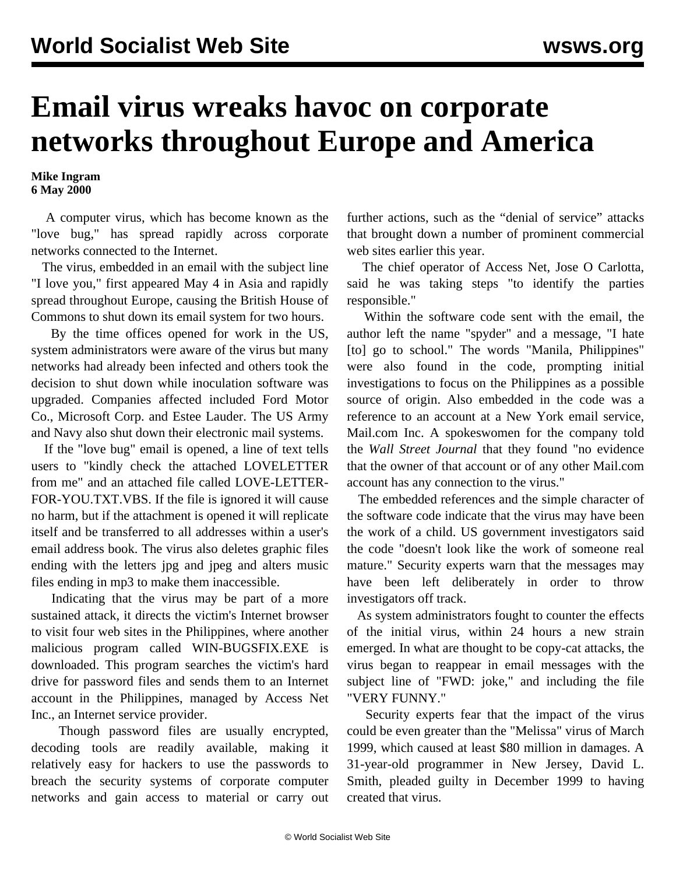## **Email virus wreaks havoc on corporate networks throughout Europe and America**

**Mike Ingram 6 May 2000**

 A computer virus, which has become known as the "love bug," has spread rapidly across corporate networks connected to the Internet.

 The virus, embedded in an email with the subject line "I love you," first appeared May 4 in Asia and rapidly spread throughout Europe, causing the British House of Commons to shut down its email system for two hours.

 By the time offices opened for work in the US, system administrators were aware of the virus but many networks had already been infected and others took the decision to shut down while inoculation software was upgraded. Companies affected included Ford Motor Co., Microsoft Corp. and Estee Lauder. The US Army and Navy also shut down their electronic mail systems.

 If the "love bug" email is opened, a line of text tells users to "kindly check the attached LOVELETTER from me" and an attached file called LOVE-LETTER-FOR-YOU.TXT.VBS. If the file is ignored it will cause no harm, but if the attachment is opened it will replicate itself and be transferred to all addresses within a user's email address book. The virus also deletes graphic files ending with the letters jpg and jpeg and alters music files ending in mp3 to make them inaccessible.

 Indicating that the virus may be part of a more sustained attack, it directs the victim's Internet browser to visit four web sites in the Philippines, where another malicious program called WIN-BUGSFIX.EXE is downloaded. This program searches the victim's hard drive for password files and sends them to an Internet account in the Philippines, managed by Access Net Inc., an Internet service provider.

 Though password files are usually encrypted, decoding tools are readily available, making it relatively easy for hackers to use the passwords to breach the security systems of corporate computer networks and gain access to material or carry out further actions, such as the "denial of service" attacks that brought down a number of prominent commercial web sites earlier this year.

 The chief operator of Access Net, Jose O Carlotta, said he was taking steps "to identify the parties responsible."

 Within the software code sent with the email, the author left the name "spyder" and a message, "I hate [to] go to school." The words "Manila, Philippines" were also found in the code, prompting initial investigations to focus on the Philippines as a possible source of origin. Also embedded in the code was a reference to an account at a New York email service, Mail.com Inc. A spokeswomen for the company told the *Wall Street Journal* that they found "no evidence that the owner of that account or of any other Mail.com account has any connection to the virus."

 The embedded references and the simple character of the software code indicate that the virus may have been the work of a child. US government investigators said the code "doesn't look like the work of someone real mature." Security experts warn that the messages may have been left deliberately in order to throw investigators off track.

 As system administrators fought to counter the effects of the initial virus, within 24 hours a new strain emerged. In what are thought to be copy-cat attacks, the virus began to reappear in email messages with the subject line of "FWD: joke," and including the file "VERY FUNNY."

 Security experts fear that the impact of the virus could be even greater than the "Melissa" virus of March 1999, which caused at least \$80 million in damages. A 31-year-old programmer in New Jersey, David L. Smith, pleaded guilty in December 1999 to having created that virus.